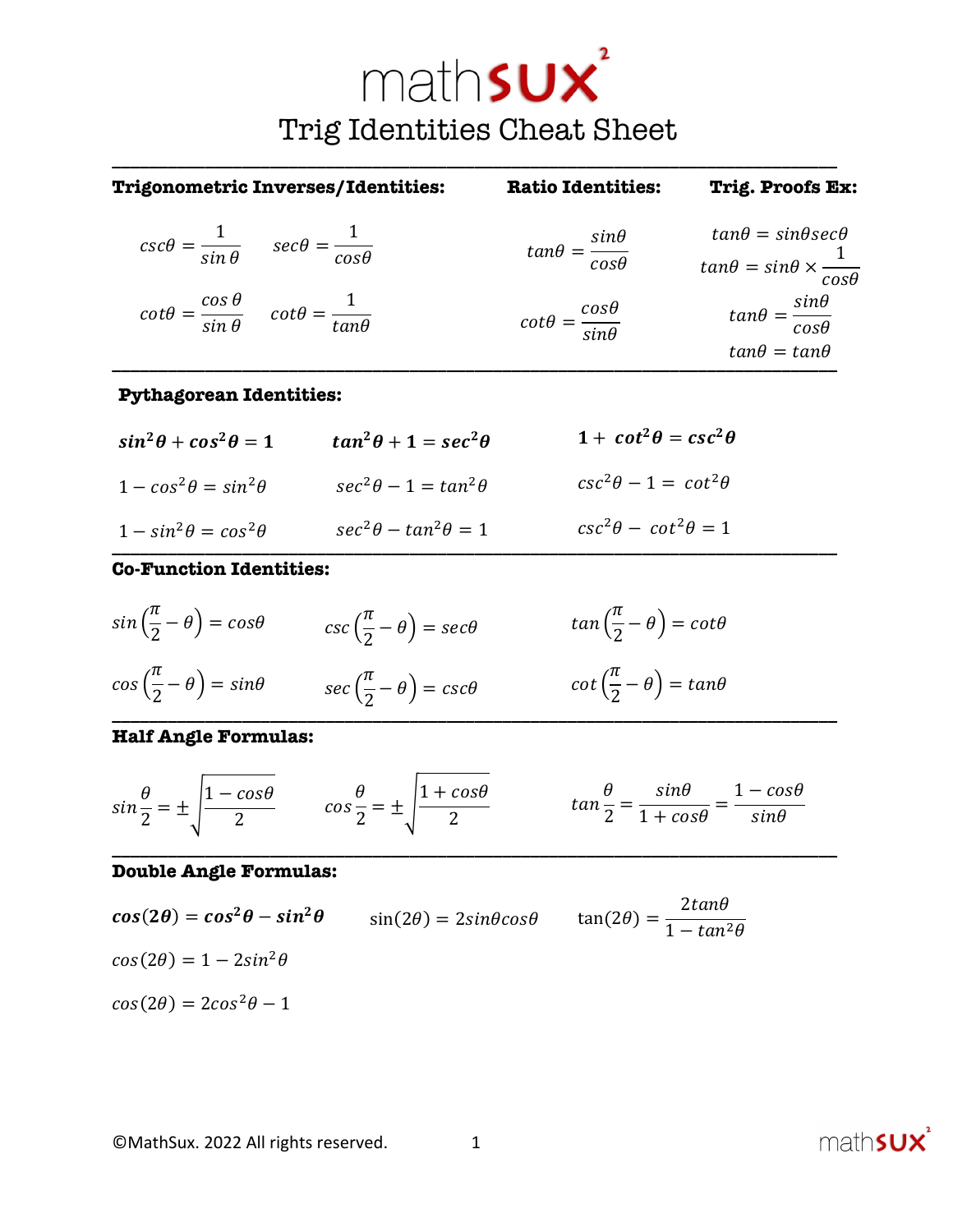# math**sux** Trig Identities Cheat Sheet

**\_\_\_\_\_\_\_\_\_\_\_\_\_\_\_\_\_\_\_\_\_\_\_\_\_\_\_\_\_\_\_\_\_\_\_\_\_\_\_\_\_\_\_\_\_\_\_\_\_\_\_\_\_\_\_\_\_\_\_\_\_\_\_\_\_\_\_\_\_\_\_\_\_\_\_\_\_\_**

| <b>Trigonometric Inverses/Identities:</b>                                            |                                 | <b>Ratio Identities:</b>                     | <b>Trig. Proofs Ex:</b>                                                                 |
|--------------------------------------------------------------------------------------|---------------------------------|----------------------------------------------|-----------------------------------------------------------------------------------------|
| $csc\theta = \frac{1}{\sin \theta}$ $sec\theta = \frac{1}{\cos \theta}$              |                                 | $tan\theta = \frac{sin\theta}{cos\theta}$    | $tan\theta = sin\theta sec\theta$<br>$tan\theta = sin\theta \times \frac{1}{cos\theta}$ |
| $\cot\theta = \frac{\cos\theta}{\sin\theta} \quad \cot\theta = \frac{1}{\tan\theta}$ |                                 | $\cot\theta = \frac{\cos\theta}{\sin\theta}$ | $tan\theta = \frac{sin\theta}{cos\theta}$<br>$tan\theta = tan\theta$                    |
| <b>Pythagorean Identities:</b>                                                       |                                 |                                              |                                                                                         |
| $sin^2\theta + cos^2\theta = 1$                                                      | $tan^2\theta + 1 = sec^2\theta$ | $1 + \cot^2 \theta = \csc^2 \theta$          |                                                                                         |
| $1 - \cos^2 \theta = \sin^2 \theta$                                                  | $sec^2\theta - 1 = tan^2\theta$ | $csc^2\theta - 1 = cot^2\theta$              |                                                                                         |
| $1 - \sin^2 \theta = \cos^2 \theta$<br>_  _ _                                        | $sec^2\theta - tan^2\theta = 1$ | $csc^2\theta - cot^2\theta = 1$              |                                                                                         |

#### **Co-Function Identities:**



### **Half Angle Formulas:**

$$
\sin\frac{\theta}{2} = \pm \sqrt{\frac{1-\cos\theta}{2}} \qquad \cos\frac{\theta}{2} = \pm \sqrt{\frac{1+\cos\theta}{2}} \qquad \tan\frac{\theta}{2} = \frac{\sin\theta}{1+\cos\theta} = \frac{1-\cos\theta}{\sin\theta}
$$

**\_\_\_\_\_\_\_\_\_\_\_\_\_\_\_\_\_\_\_\_\_\_\_\_\_\_\_\_\_\_\_\_\_\_\_\_\_\_\_\_\_\_\_\_\_\_\_\_\_\_\_\_\_\_\_\_\_\_\_\_\_\_\_\_\_\_\_\_\_\_\_\_\_\_\_\_\_\_**

## **Double Angle Formulas:**

$$
\cos(2\theta) = \cos^2\theta - \sin^2\theta \qquad \sin(2\theta) = 2\sin\theta\cos\theta \qquad \tan(2\theta) = \frac{2\tan\theta}{1 - \tan^2\theta}
$$

$$
\cos(2\theta) = 1 - 2\sin^2\theta
$$

$$
\cos(2\theta) = 2\cos^2\theta - 1
$$